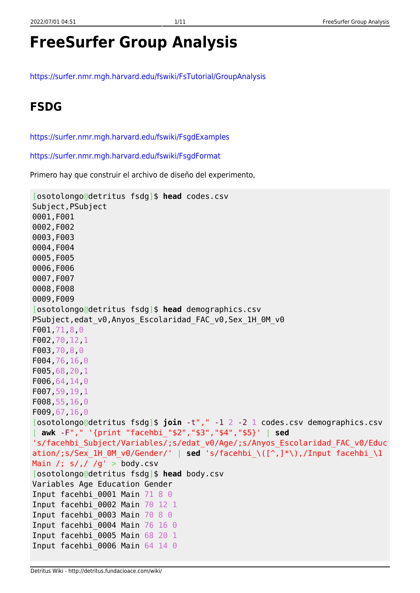# **FreeSurfer Group Analysis**

<https://surfer.nmr.mgh.harvard.edu/fswiki/FsTutorial/GroupAnalysis>

### **FSDG**

<https://surfer.nmr.mgh.harvard.edu/fswiki/FsgdExamples>

<https://surfer.nmr.mgh.harvard.edu/fswiki/FsgdFormat>

Primero hay que construir el archivo de diseño del experimento,

```
[osotolongo@detritus fsdg]$ head codes.csv
Subject,PSubject
0001,F001
0002,F002
0003,F003
0004,F004
0005,F005
0006,F006
0007,F007
0008,F008
0009,F009
[osotolongo@detritus fsdg]$ head demographics.csv
PSubject, edat v0, Anyos Escolaridad FAC v0, Sex 1H 0M v0
F001,71,8,0
F002,70,12,1
F003,70,8,0
F004,76,16,0
F005,68,20,1
F006,64,14,0
F007,59,19,1
F008,55,16,0
F009,67,16,0
[osotolongo@detritus fsdg]$ join -t"," -1 2 -2 1 codes.csv demographics.csv
 | awk -F"," '{print "facehbi_"$2","$3","$4","$5}' | sed
's/facehbi_Subject/Variables/;s/edat_v0/Age/;s/Anyos_Escolaridad_FAC_v0/Educ
ation/;s/Sex_1H_0M_v0/Gender/' | sed 's/facehbi_\([^,]*\),/Input facehbi_\1
Main /; s/, / /g' > body.csv
[osotolongo@detritus fsdg]$ head body.csv
Variables Age Education Gender
Input facehbi 0001 Main 71 8 0
Input facehbi_0002 Main 70 12 1
Input facehbi 0003 Main 70 8 0
Input facehbi_0004 Main 76 16 0
Input facehbi_0005 Main 68 20 1
Input facehbi 0006 Main 64 14 0
```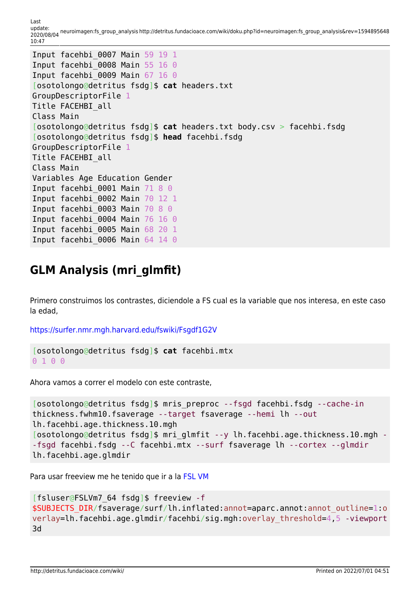Last<br>update: update: 2020/08/04 neuroimagen:fs\_group\_analysis http://detritus.fundacioace.com/wiki/doku.php?id=neuroimagen:fs\_group\_analysis&rev=1594895648 10:47

```
Input facehbi_0007 Main 59 19 1
Input facehbi 0008 Main 55 16 0
Input facehbi_0009 Main 67 16 0
[osotolongo@detritus fsdg]$ cat headers.txt
GroupDescriptorFile 1
Title FACEHBI_all
Class Main
[osotolongo@detritus fsdg]$ cat headers.txt body.csv > facehbi.fsdg
[osotolongo@detritus fsdg]$ head facehbi.fsdg
GroupDescriptorFile 1
Title FACEHBI_all
Class Main
Variables Age Education Gender
Input facehbi 0001 Main 71 8 0
Input facehbi_0002 Main 70 12 1
Input facehbi 0003 Main 70 8 0
Input facehbi_0004 Main 76 16 0
Input facehbi_0005 Main 68 20 1
Input facehbi 0006 Main 64 14 0
```
### **GLM Analysis (mri\_glmfit)**

Primero construimos los contrastes, diciendole a FS cual es la variable que nos interesa, en este caso la edad,

<https://surfer.nmr.mgh.harvard.edu/fswiki/Fsgdf1G2V>

```
[osotolongo@detritus fsdg]$ cat facehbi.mtx
0 1 0 0
```
Ahora vamos a correr el modelo con este contraste,

```
[osotolongo@detritus fsdg]$ mris_preproc --fsgd facehbi.fsdg --cache-in
thickness.fwhm10.fsaverage --target fsaverage --hemi lh --out
lh.facehbi.age.thickness.10.mgh
[osotolongo@detritus fsdg]$ mri glmfit --y lh.facehbi.age.thickness.10.mgh -
-fsgd facehbi.fsdg --C facehbi.mtx --surf fsaverage lh --cortex --glmdir
lh.facehbi.age.glmdir
```
Para usar freeview me he tenido que ir a la [FSL VM](http://detritus.fundacioace.com/wiki/doku.php?id=neuroimagen:virtfsl)

```
[fsluser@FSLVm7_64 fsdg]$ freeview -f
$SUBJECTS_DIR/fsaverage/surf/lh.inflated:annot=aparc.annot:annot_outline=1:o
verlay=lh.facehbi.age.glmdir/facehbi/sig.mgh:overlay_threshold=4,5 -viewport
3d
```
http://detritus.fundacioace.com/wiki/ Printed on 2022/07/01 04:51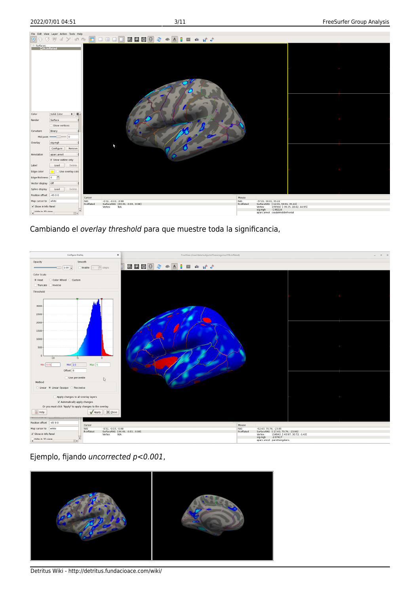

Cambiando el overlay threshold para que muestre toda la significancia,



Ejemplo, fijando uncorrected p<0.001,



Detritus Wiki - http://detritus.fundacioace.com/wiki/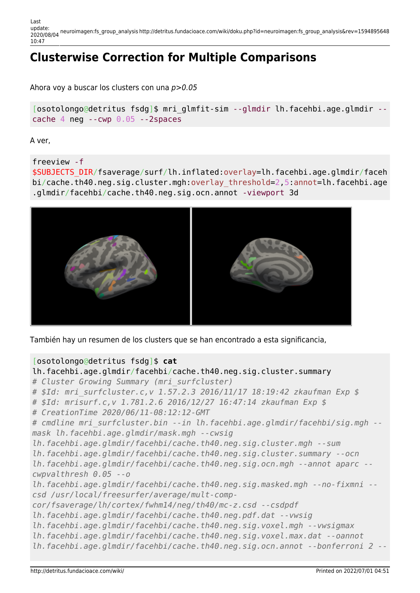Last update: 2020/08/04 neuroimagen:fs\_group\_analysis http://detritus.fundacioace.com/wiki/doku.php?id=neuroimagen:fs\_group\_analysis&rev=1594895648 10:47

## **Clusterwise Correction for Multiple Comparisons**

Ahora voy a buscar los clusters con una p>0.05

[osotolongo@detritus fsdg]\$ mri\_glmfit-sim --glmdir lh.facehbi.age.glmdir - cache 4 neg  $-$ -cwp  $0.05 - 2$ spaces

A ver,

freeview -f

\$SUBJECTS\_DIR/fsaverage/surf/lh.inflated:overlay=lh.facehbi.age.glmdir/faceh bi/cache.th40.neg.sig.cluster.mgh:overlay\_threshold=2,5:annot=lh.facehbi.age .glmdir/facehbi/cache.th40.neg.sig.ocn.annot -viewport 3d



También hay un resumen de los clusters que se han encontrado a esta significancia,

#### [osotolongo@detritus fsdg]\$ **cat**

```
lh.facehbi.age.glmdir/facehbi/cache.th40.neg.sig.cluster.summary
# Cluster Growing Summary (mri_surfcluster)
# $Id: mri_surfcluster.c,v 1.57.2.3 2016/11/17 18:19:42 zkaufman Exp $
# $Id: mrisurf.c,v 1.781.2.6 2016/12/27 16:47:14 zkaufman Exp $
# CreationTime 2020/06/11-08:12:12-GMT
# cmdline mri_surfcluster.bin --in lh.facehbi.age.glmdir/facehbi/sig.mgh --
mask lh.facehbi.age.glmdir/mask.mgh --cwsig
lh.facehbi.age.glmdir/facehbi/cache.th40.neg.sig.cluster.mgh --sum
lh.facehbi.age.glmdir/facehbi/cache.th40.neg.sig.cluster.summary --ocn
lh.facehbi.age.glmdir/facehbi/cache.th40.neg.sig.ocn.mgh --annot aparc --
cwpvalthresh 0.05 --o
lh.facehbi.age.glmdir/facehbi/cache.th40.neg.sig.masked.mgh --no-fixmni --
csd /usr/local/freesurfer/average/mult-comp-
cor/fsaverage/lh/cortex/fwhm14/neg/th40/mc-z.csd --csdpdf
lh.facehbi.age.glmdir/facehbi/cache.th40.neg.pdf.dat --vwsig
lh.facehbi.age.glmdir/facehbi/cache.th40.neg.sig.voxel.mgh --vwsigmax
lh.facehbi.age.glmdir/facehbi/cache.th40.neg.sig.voxel.max.dat --oannot
lh.facehbi.age.glmdir/facehbi/cache.th40.neg.sig.ocn.annot --bonferroni 2 --
```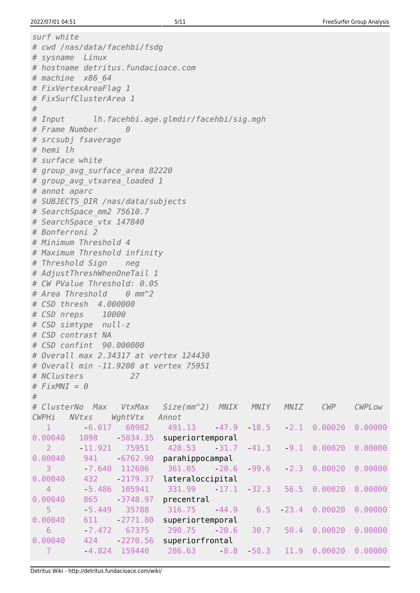```
surf white
# cwd /nas/data/facehbi/fsdg
# sysname Linux
# hostname detritus.fundacioace.com
# machine x86_64
# FixVertexAreaFlag 1
# FixSurfClusterArea 1
#
# Input lh.facehbi.age.glmdir/facehbi/sig.mgh
# Frame Number 0
# srcsubj fsaverage
# hemi lh
# surface white
# group_avg_surface_area 82220
# group_avg_vtxarea_loaded 1
# annot aparc
# SUBJECTS_DIR /nas/data/subjects
# SearchSpace_mm2 75610.7
# SearchSpace_vtx 147840
# Bonferroni 2
# Minimum Threshold 4
# Maximum Threshold infinity
# Threshold Sign neg
# AdjustThreshWhenOneTail 1
# CW PValue Threshold: 0.05
# Area Threshold 0 mm^2
# CSD thresh 4.000000
# CSD nreps 10000
# CSD simtype null-z
# CSD contrast NA
# CSD confint 90.000000
# Overall max 2.34317 at vertex 124430
# Overall min -11.9208 at vertex 75951
# NClusters 27
# FixMNI = 0
#
# ClusterNo Max VtxMax Size(mm^2) MNIX MNIY MNIZ CWP CWPLow
CWPHi NVtxs WghtVtx Annot
   1 -6.017 60982 491.13 -47.9 -18.5 -2.1 0.00020 0.00000
0.00040 1098 5034.35 superiortemporal
 2 -11.921 75951 428.53 -31.7 -41.3 -9.1 0.00020 0.00000
0.00040 941 6762.90 parahippocampal
   3 -7.640 112606 361.05 -20.6 -99.6 -2.3 0.00020 0.00000
0.00040 432 2179.37 lateraloccipital
   4 -5.486 105941 331.99 -17.1 -32.3 56.5 0.00020 0.00000
0.00040 865 - 3748.97 precentral
 5 -5.449 35788 316.75 -44.9 6.5 -23.4 0.00020 0.00000
0.00040    611    2771.80    superiortemporal
 6 -7.472 67375 290.75 -20.6 30.7 50.4 0.00020 0.00000
0.00040  424     -2270.56     superiorfrontal
 7 -4.824 159440 286.63 -8.8 -58.3 11.9 0.00020 0.00000
```
Detritus Wiki - http://detritus.fundacioace.com/wiki/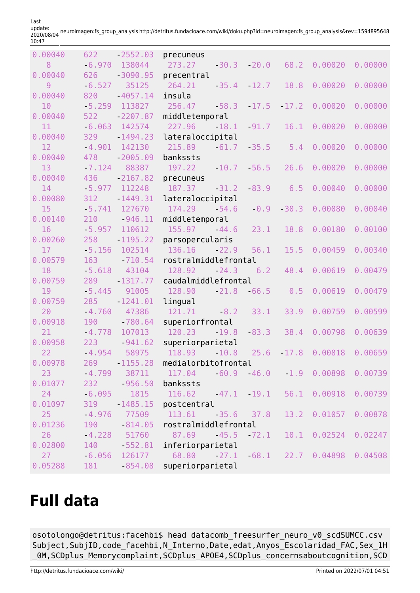| 0.00040 | 622      | $-2552.03$      | precuneus                                      |         |         |                                           |         |
|---------|----------|-----------------|------------------------------------------------|---------|---------|-------------------------------------------|---------|
| 8       | 6.970    | 138044          | 273.27<br>$-30.3$                              | $-20.0$ | 68.2    | 0.00020                                   | 0.00000 |
| 0.00040 | 626      | $-3090.95$      | precentral                                     |         |         |                                           |         |
| 9       | $-6.527$ | 35125           | 264.21<br>$-35.4$                              | $-12.7$ | 18.8    | 0.00020                                   | 0.00000 |
| 0.00040 | 820      | $-4057.14$      | insula                                         |         |         |                                           |         |
| 10      | 5.259    | 113827          | 256.47<br>$-58.3$                              | $-17.5$ | $-17.2$ | 0.00020                                   | 0.00000 |
| 0.00040 | 522      | $-2207.87$      | middletemporal                                 |         |         |                                           |         |
| 11      | $-6.063$ | 142574          | 227.96<br>18.1                                 | $-91.7$ | 16.1    | 0.00020                                   | 0.00000 |
| 0.00040 | 329      | $-1494.23$      | lateraloccipital                               |         |         |                                           |         |
| 12      | $-4.901$ | 142130          | 215.89<br>$-61.7$                              | $-35.5$ | 5.4     | 0.00020                                   | 0.00000 |
| 0.00040 | 478      | $-2005.09$      | bankssts                                       |         |         |                                           |         |
| 13      | $-7.124$ | 88387           | 197.22<br>$-10.7$                              | $-56.5$ | 26.6    | 0.00020                                   | 0.00000 |
| 0.00040 | 436      | $-2167.82$      | precuneus                                      |         |         |                                           |         |
| 14      | $-5.977$ | 112248          | 187.37<br>$-31.2$                              | $-83.9$ | 6.5     | 0.00040                                   | 0.00000 |
| 0.00080 | 312      | $-1449.31$      | lateraloccipital                               |         |         |                                           |         |
| 15      | $-5.741$ | 127670          | 174.29<br>$-54.6$                              | $-0.9$  | $-30.3$ | 0.00080                                   | 0.00040 |
| 0.00140 | 210      | $-946.11$       | middletemporal                                 |         |         |                                           |         |
| 16      | $-5.957$ | 110612          | 155.97<br>$-44.6$                              | 23.1    | 18.8    | 0.00180                                   | 0.00100 |
| 0.00260 | 258      | $-1195.22$      | parsopercularis                                |         |         |                                           |         |
| 17      | $-5.156$ | 102514          | 136.16<br>$-22.9$                              | 56.1    | 15.5    | 0.00459                                   | 0.00340 |
| 0.00579 | 163      | $-710.54$       | rostralmiddlefrontal                           |         |         |                                           |         |
| 18      | $-5.618$ | 43104           | 128.92<br>$-24.3$                              | 6.2     | 48.4    | 0.00619                                   | 0.00479 |
| 0.00759 | 289      | $-1317.77$      | caudalmiddlefrontal                            |         |         |                                           |         |
| 19      | $-5.445$ | 91005           | 128.90<br>$-21.8$                              | $-66.5$ | 0.5     | 0.00619                                   | 0.00479 |
| 0.00759 | 285      | $-1241.01$      | lingual                                        |         |         |                                           |         |
| 20      | $-4.760$ | 47386           | 121.71<br>$-8.2$                               | 33.1    | 33.9    | 0.00759                                   | 0.00599 |
| 0.00918 | 190      | $-780.64$       | superiorfrontal                                |         |         |                                           |         |
| 21      | $-4.778$ | 107013          | 120.23<br>$-19.8$                              | $-83.3$ | 38.4    | 0.00798                                   | 0.00639 |
| 0.00958 | 223      | $-941.62$       | superiorparietal                               |         |         |                                           |         |
| 22      | $-4.954$ | 58975           | 118.93<br>$-10.8$                              | 25.6    | $-17.8$ | 0.00818                                   | 0.00659 |
| 0.00978 | 269 —    | $-1155.28$      | medialorbitofrontal                            |         |         |                                           |         |
| 23      |          | $-4.799$ 38711  | 117.04                                         |         |         | $-60.9$ $-46.0$ $1.9$ $0.00898$ $0.00739$ |         |
| 0.01077 |          | 232 956.50      | bankssts                                       |         |         |                                           |         |
| 24      |          |                 | $-6.095$ 1815 116.62 $-47.1$ 19.1 56.1 0.00918 |         |         |                                           | 0.00739 |
| 0.01097 | 319      | 1485.15         | postcentral                                    |         |         |                                           |         |
| 25      | $-4.976$ |                 | 77509 113.61 35.6 37.8 13.2 0.01057            |         |         |                                           | 0.00878 |
| 0.01236 | 190      | 814.05          | rostralmiddlefrontal                           |         |         |                                           |         |
| 26      |          | $-4.228$ 51760  | 87.69                                          |         |         | $-45.5$ $72.1$ $10.1$ $0.02524$           | 0.02247 |
| 0.02800 |          | 140 552.81      | inferiorparietal                               |         |         |                                           |         |
| 27      |          | $-6.056$ 126177 | 68.80                                          |         |         | $27.1$ 68.1 22.7 0.04898                  | 0.04508 |
| 0.05288 |          |                 | 181 - 854.08 superiorparietal                  |         |         |                                           |         |

update: 2020/08/04 neuroimagen:fs\_group\_analysis http://detritus.fundacioace.com/wiki/doku.php?id=neuroimagen:fs\_group\_analysis&rev=1594895648 10:47

## **Full data**

Last

osotolongo@detritus:facehbi\$ head datacomb\_freesurfer\_neuro\_v0\_scdSUMCC.csv Subject, SubjID, code facehbi,N Interno,Date,edat,Anyos Escolaridad FAC,Sex 1H \_0M,SCDplus\_Memorycomplaint,SCDplus\_APOE4,SCDplus\_concernsaboutcognition,SCD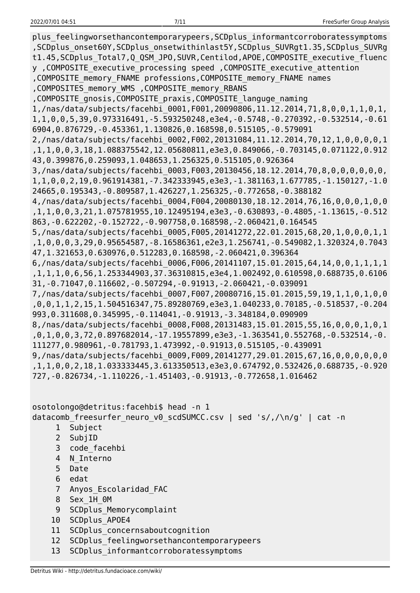plus feelingworsethancontemporarypeers,SCDplus informantcorroboratessymptoms ,SCDplus\_onset60Y,SCDplus\_onsetwithinlast5Y,SCDplus\_SUVRgt1.35,SCDplus\_SUVRg t1.45,SCDplus\_Total7,Q\_QSM\_JPO,SUVR,Centilod,APOE,COMPOSITE\_executive\_fluenc y ,COMPOSITE\_executive\_processing speed ,COMPOSITE\_executive\_attention ,COMPOSITE\_memory\_FNAME professions,COMPOSITE\_memory\_FNAME names ,COMPOSITES\_memory\_WMS ,COMPOSITE\_memory\_RBANS ,COMPOSITE\_gnosis,COMPOSITE\_praxis,COMPOSITE\_languge\_naming 1,/nas/data/subjects/facehbi\_0001,F001,20090806,11.12.2014,71,8,0,0,1,1,0,1, 1,1,0,0,5,39,0.973316491,-5.593250248,e3e4,-0.5748,-0.270392,-0.532514,-0.61 6904,0.876729,-0.453361,1.130826,0.168598,0.515105,-0.579091 2,/nas/data/subjects/facehbi\_0002,F002,20131084,11.12.2014,70,12,1,0,0,0,0,1 ,1,1,0,0,3,18,1.088375542,12.05680811,e3e3,0.849066,-0.703145,0.071122,0.912 43,0.399876,0.259093,1.048653,1.256325,0.515105,0.926364 3,/nas/data/subjects/facehbi\_0003,F003,20130456,18.12.2014,70,8,0,0,0,0,0,0, 1,1,0,0,2,19,0.961914381,-7.342333945,e3e3,-1.381163,1.677785,-1.150127,-1.0 24665,0.195343,-0.809587,1.426227,1.256325,-0.772658,-0.388182 4,/nas/data/subjects/facehbi\_0004,F004,20080130,18.12.2014,76,16,0,0,0,1,0,0 ,1,1,0,0,3,21,1.075781955,10.12495194,e3e3,-0.630893,-0.4805,-1.13615,-0.512 863,-0.622202,-0.152722,-0.907758,0.168598,-2.060421,0.164545 5,/nas/data/subjects/facehbi\_0005,F005,20141272,22.01.2015,68,20,1,0,0,0,1,1 ,1,0,0,0,3,29,0.95654587,-8.16586361,e2e3,1.256741,-0.549082,1.320324,0.7043 47,1.321653,0.630976,0.512283,0.168598,-2.060421,0.396364 6,/nas/data/subjects/facehbi\_0006,F006,20141107,15.01.2015,64,14,0,0,1,1,1,1 ,1,1,1,0,6,56,1.253344903,37.36310815,e3e4,1.002492,0.610598,0.688735,0.6106 31,-0.71047,0.116602,-0.507294,-0.91913,-2.060421,-0.039091 7,/nas/data/subjects/facehbi\_0007,F007,20080716,15.01.2015,59,19,1,1,0,1,0,0 ,0,0,1,1,2,15,1.504516347,75.89280769,e3e3,1.040233,0.70185,-0.518537,-0.204 993,0.311608,0.345995,-0.114041,-0.91913,-3.348184,0.090909 8,/nas/data/subjects/facehbi\_0008,F008,20131483,15.01.2015,55,16,0,0,0,1,0,1 ,0,1,0,0,3,72,0.897682014,-17.19557899,e3e3,-1.363541,0.552768,-0.532514,-0. 111277,0.980961,-0.781793,1.473992,-0.91913,0.515105,-0.439091 9,/nas/data/subjects/facehbi\_0009,F009,20141277,29.01.2015,67,16,0,0,0,0,0,0 ,1,1,0,0,2,18,1.033333445,3.613350513,e3e3,0.674792,0.532426,0.688735,-0.920 727,-0.826734,-1.110226,-1.451403,-0.91913,-0.772658,1.016462

osotolongo@detritus:facehbi\$ head -n 1 datacomb\_freesurfer\_neuro\_v0\_scdSUMCC.csv | sed 's/,/\n/g' | cat -n 1 Subject

- 2 SubjID
- 3 code\_facehbi
- 4 N\_Interno
- 5 Date
- 6 edat
- 7 Anyos\_Escolaridad\_FAC
- 8 Sex\_1H\_0M
- 9 SCDplus Memorycomplaint
- 10 SCDplus\_APOE4
- 11 SCDplus concernsaboutcognition
- 12 SCDplus feelingworsethancontemporarypeers
- 13 SCDplus\_informantcorroboratessymptoms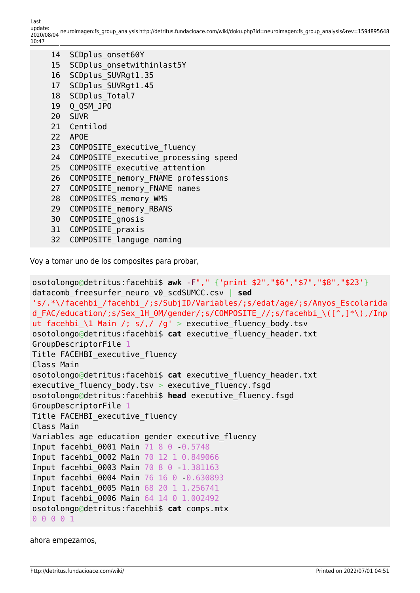| 14              | SCDplus onset60Y                     |
|-----------------|--------------------------------------|
| 15              | SCDplus onsetwithinlast5Y            |
|                 | 16 SCDplus SUVRgt1.35                |
| 17 <sup>7</sup> | SCDplus SUVRgt1.45                   |
|                 | 18 SCDplus Total7                    |
|                 | 19 Q QSM JP0                         |
|                 | 20 SUVR                              |
|                 | 21 Centilod                          |
|                 | 22 APOE                              |
|                 | 23 COMPOSITE executive fluency       |
| 24              | COMPOSITE executive processing speed |
| 25              | COMPOSITE executive attention        |
| 26              | COMPOSITE memory FNAME professions   |
| 27              | COMPOSITE memory FNAME names         |
| 28              | COMPOSITES memory WMS                |
| 29              | COMPOSITE memory RBANS               |
| 30              | COMPOSITE gnosis                     |
| 31              | COMPOSITE praxis                     |
|                 |                                      |

32 COMPOSITE\_languge\_naming

Voy a tomar uno de los composites para probar,

```
osotolongo@detritus:facehbi$ awk -F"," {'print $2","$6","$7","$8","$23'}
datacomb_freesurfer_neuro_v0_scdSUMCC.csv | sed
's/.*\/facehbi_/facehbi_/;s/SubjID/Variables/;s/edat/age/;s/Anyos_Escolarida
d FAC/education/;s/Sex 1H 0M/gender/;s/COMPOSITE //;s/facehbi_\([^,]*\),/Inp
ut facehbi_\1 Main /; s/,/ /g' > executive_fluency_body.tsv
osotolongo@detritus:facehbi$ cat executive_fluency_header.txt
GroupDescriptorFile 1
Title FACEHBI executive fluency
Class Main
osotolongo@detritus:facehbi$ cat executive_fluency_header.txt
executive fluency body.tsv > executive fluency.fsgd
osotolongo@detritus:facehbi$ head executive_fluency.fsgd
GroupDescriptorFile 1
Title FACEHBI_executive_fluency
Class Main
Variables age education gender executive_fluency
Input facehbi 0001 Main 71 8 0 0.5748
Input facehbi_0002 Main 70 12 1 0.849066
Input facehbi_0003 Main 70 8 0 -1.381163
Input facehbi_0004 Main 76 16 0 -0.630893
Input facehbi_0005 Main 68 20 1 1.256741
Input facehbi_0006 Main 64 14 0 1.002492
osotolongo@detritus:facehbi$ cat comps.mtx
0 0 0 0 1
```
ahora empezamos,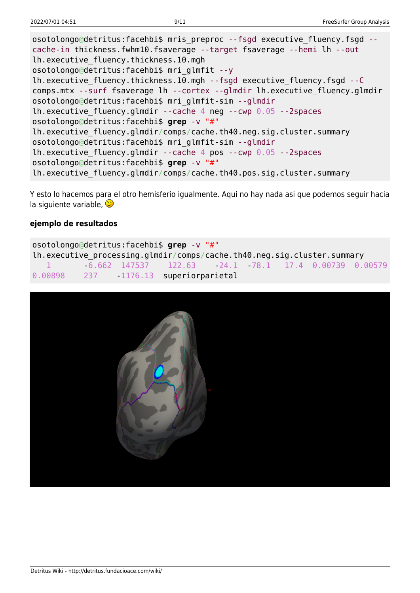osotolongo@detritus:facehbi\$ mris\_preproc --fsgd executive\_fluency.fsgd -cache-in thickness.fwhm10.fsaverage --target fsaverage --hemi lh --out lh.executive\_fluency.thickness.10.mgh osotolongo@detritus:facehbi\$ mri\_glmfit --y lh.executive\_fluency.thickness.10.mgh --fsgd executive\_fluency.fsgd --C comps.mtx --surf fsaverage lh --cortex --glmdir lh.executive\_fluency.glmdir osotolongo@detritus:facehbi\$ mri\_glmfit-sim --glmdir lh.executive fluency.glmdir --cache 4 neg --cwp  $0.05$  --2spaces osotolongo@detritus:facehbi\$ **grep** -v "#" lh.executive fluency.glmdir/comps/cache.th40.neg.sig.cluster.summary osotolongo@detritus:facehbi\$ mri\_glmfit-sim --glmdir lh.executive fluency.glmdir --cache 4 pos --cwp  $0.05$  --2spaces osotolongo@detritus:facehbi\$ **grep** -v "#" lh.executive\_fluency.glmdir/comps/cache.th40.pos.sig.cluster.summary

Y esto lo hacemos para el otro hemisferio igualmente. Aqui no hay nada asi que podemos seguir hacia la siguiente variable,  $\circled{ }$ 

#### **ejemplo de resultados**

| osotolongo@detritus:facehbi\$ grep -v "#"                               |  |  |                                                       |  |  |  |  |  |  |  |
|-------------------------------------------------------------------------|--|--|-------------------------------------------------------|--|--|--|--|--|--|--|
| lh.executive processing.glmdir/comps/cache.th40.neg.sig.cluster.summary |  |  |                                                       |  |  |  |  |  |  |  |
| and the company of the company                                          |  |  | $-6.662$ 147537 122.63 24.1 78.1 17.4 0.00739 0.00579 |  |  |  |  |  |  |  |
| 0.00898 237 1176.13 superiorparietal                                    |  |  |                                                       |  |  |  |  |  |  |  |

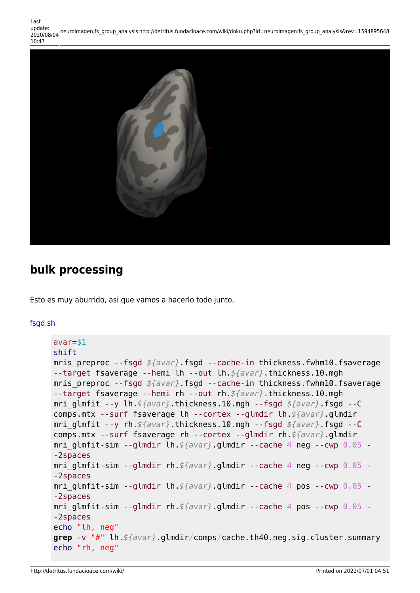

### **bulk processing**

Esto es muy aburrido, asi que vamos a hacerlo todo junto,

#### [fsgd.sh](http://detritus.fundacioace.com/wiki/doku.php?do=export_code&id=neuroimagen:fs_group_analysis&codeblock=11)

```
avar=$1
shift
mris preproc --fsgd $\avar}.fsgd --cache-in thickness.fwhm10.fsaverage
--target fsaverage --hemi lh --out lh.${avar}.thickness.10.mgh
mris preproc --fsgd $\avar}.fsgd --cache-in thickness.fwhm10.fsaverage
--target fsaverage --hemi rh --out rh.${avar}.thickness.10.mgh
mri_glmfit --y lh.${avar}.thickness.10.mgh --fsgd ${avar}.fsgd --C
comps.mtx --surf fsaverage lh --cortex --glmdir lh.${avar}.glmdir
mri_glmfit --y rh.${avar}.thickness.10.mgh --fsgd ${avar}.fsgd --C
comps.mtx --surf fsaverage rh --cortex --glmdir rh.${avar}.glmdir
mri_glmfit-sim --glmdir lh.${avar}.glmdir --cache 4 neg --cwp 0.05 -
-2spaces
mri_glmfit-sim --glmdir rh.${avar}.glmdir --cache 4 neg --cwp 0.05 -
-2spaces
mri_glmfit-sim --glmdir lh.${avar}.glmdir --cache 4 pos --cwp 0.05 -
-2spaces
mri_glmfit-sim --glmdir rh.${avar}.glmdir --cache 4 pos --cwp 0.05 -
-2spaces
echo "lh, neg"
grep -v "#" lh.${avar}.glmdir/comps/cache.th40.neg.sig.cluster.summary
echo "rh, neg"
```